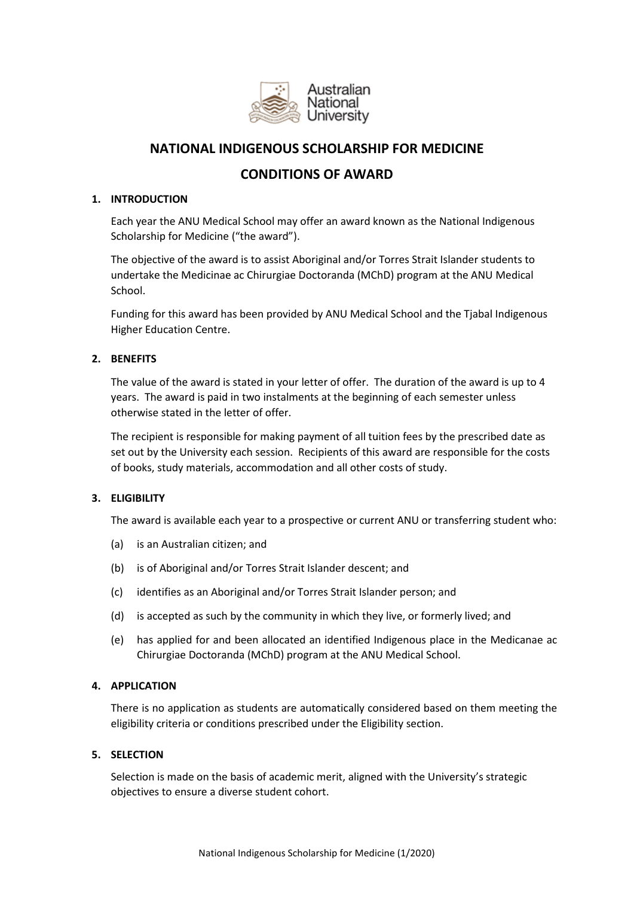

# **NATIONAL INDIGENOUS SCHOLARSHIP FOR MEDICINE**

# **CONDITIONS OF AWARD**

## **1. INTRODUCTION**

Each year the ANU Medical School may offer an award known as the National Indigenous Scholarship for Medicine ("the award").

The objective of the award is to assist Aboriginal and/or Torres Strait Islander students to undertake the Medicinae ac Chirurgiae Doctoranda (MChD) program at the ANU Medical School.

Funding for this award has been provided by ANU Medical School and the Tjabal Indigenous Higher Education Centre.

# **2. BENEFITS**

The value of the award is stated in your letter of offer. The duration of the award is up to 4 years. The award is paid in two instalments at the beginning of each semester unless otherwise stated in the letter of offer.

The recipient is responsible for making payment of all tuition fees by the prescribed date as set out by the University each session. Recipients of this award are responsible for the costs of books, study materials, accommodation and all other costs of study.

## **3. ELIGIBILITY**

The award is available each year to a prospective or current ANU or transferring student who:

- (a) is an Australian citizen; and
- (b) is of Aboriginal and/or Torres Strait Islander descent; and
- (c) identifies as an Aboriginal and/or Torres Strait Islander person; and
- (d) is accepted as such by the community in which they live, or formerly lived; and
- (e) has applied for and been allocated an identified Indigenous place in the Medicanae ac Chirurgiae Doctoranda (MChD) program at the ANU Medical School.

## **4. APPLICATION**

There is no application as students are automatically considered based on them meeting the eligibility criteria or conditions prescribed under the Eligibility section.

# **5. SELECTION**

Selection is made on the basis of academic merit, aligned with the University's strategic objectives to ensure a diverse student cohort.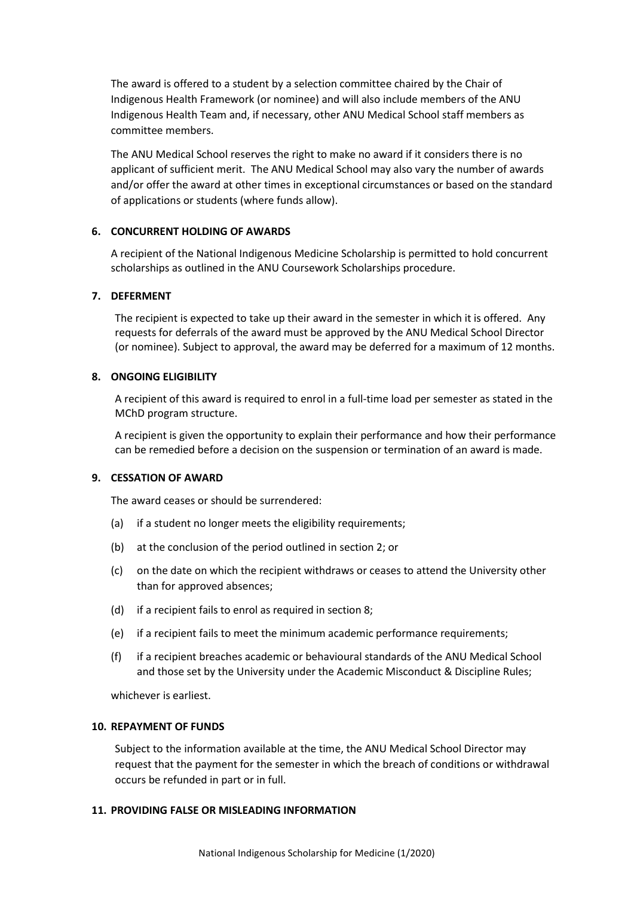The award is offered to a student by a selection committee chaired by the Chair of Indigenous Health Framework (or nominee) and will also include members of the ANU Indigenous Health Team and, if necessary, other ANU Medical School staff members as committee members.

The ANU Medical School reserves the right to make no award if it considers there is no applicant of sufficient merit. The ANU Medical School may also vary the number of awards and/or offer the award at other times in exceptional circumstances or based on the standard of applications or students (where funds allow).

## **6. CONCURRENT HOLDING OF AWARDS**

A recipient of the National Indigenous Medicine Scholarship is permitted to hold concurrent scholarships as outlined in the ANU Coursework Scholarships procedure.

# **7. DEFERMENT**

The recipient is expected to take up their award in the semester in which it is offered. Any requests for deferrals of the award must be approved by the ANU Medical School Director (or nominee). Subject to approval, the award may be deferred for a maximum of 12 months.

# **8. ONGOING ELIGIBILITY**

A recipient of this award is required to enrol in a full-time load per semester as stated in the MChD program structure.

A recipient is given the opportunity to explain their performance and how their performance can be remedied before a decision on the suspension or termination of an award is made.

# **9. CESSATION OF AWARD**

The award ceases or should be surrendered:

- (a) if a student no longer meets the eligibility requirements;
- (b) at the conclusion of the period outlined in section 2; or
- (c) on the date on which the recipient withdraws or ceases to attend the University other than for approved absences;
- (d) if a recipient fails to enrol as required in section 8;
- (e) if a recipient fails to meet the minimum academic performance requirements;
- (f) if a recipient breaches academic or behavioural standards of the ANU Medical School and those set by the University under the Academic Misconduct & Discipline Rules;

whichever is earliest.

## **10. REPAYMENT OF FUNDS**

Subject to the information available at the time, the ANU Medical School Director may request that the payment for the semester in which the breach of conditions or withdrawal occurs be refunded in part or in full.

# **11. PROVIDING FALSE OR MISLEADING INFORMATION**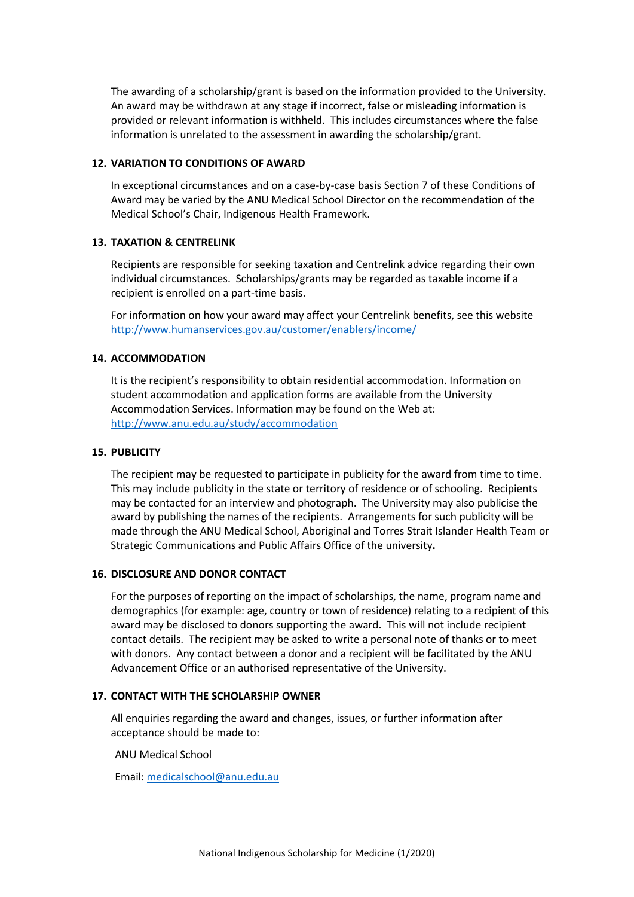The awarding of a scholarship/grant is based on the information provided to the University. An award may be withdrawn at any stage if incorrect, false or misleading information is provided or relevant information is withheld. This includes circumstances where the false information is unrelated to the assessment in awarding the scholarship/grant.

#### **12. VARIATION TO CONDITIONS OF AWARD**

In exceptional circumstances and on a case-by-case basis Section 7 of these Conditions of Award may be varied by the ANU Medical School Director on the recommendation of the Medical School's Chair, Indigenous Health Framework.

## **13. TAXATION & CENTRELINK**

Recipients are responsible for seeking taxation and Centrelink advice regarding their own individual circumstances. Scholarships/grants may be regarded as taxable income if a recipient is enrolled on a part-time basis.

For information on how your award may affect your Centrelink benefits, see this website <http://www.humanservices.gov.au/customer/enablers/income/>

#### **14. ACCOMMODATION**

It is the recipient's responsibility to obtain residential accommodation. Information on student accommodation and application forms are available from the University Accommodation Services. Information may be found on the Web at: <http://www.anu.edu.au/study/accommodation>

#### **15. PUBLICITY**

The recipient may be requested to participate in publicity for the award from time to time. This may include publicity in the state or territory of residence or of schooling. Recipients may be contacted for an interview and photograph. The University may also publicise the award by publishing the names of the recipients. Arrangements for such publicity will be made through the ANU Medical School, Aboriginal and Torres Strait Islander Health Team or Strategic Communications and Public Affairs Office of the university**.**

#### **16. DISCLOSURE AND DONOR CONTACT**

For the purposes of reporting on the impact of scholarships, the name, program name and demographics (for example: age, country or town of residence) relating to a recipient of this award may be disclosed to donors supporting the award. This will not include recipient contact details. The recipient may be asked to write a personal note of thanks or to meet with donors. Any contact between a donor and a recipient will be facilitated by the ANU Advancement Office or an authorised representative of the University.

## **17. CONTACT WITH THE SCHOLARSHIP OWNER**

All enquiries regarding the award and changes, issues, or further information after acceptance should be made to:

ANU Medical School

Email: [medicalschool@anu.edu.au](mailto:medicalschool@anu.edu.au)